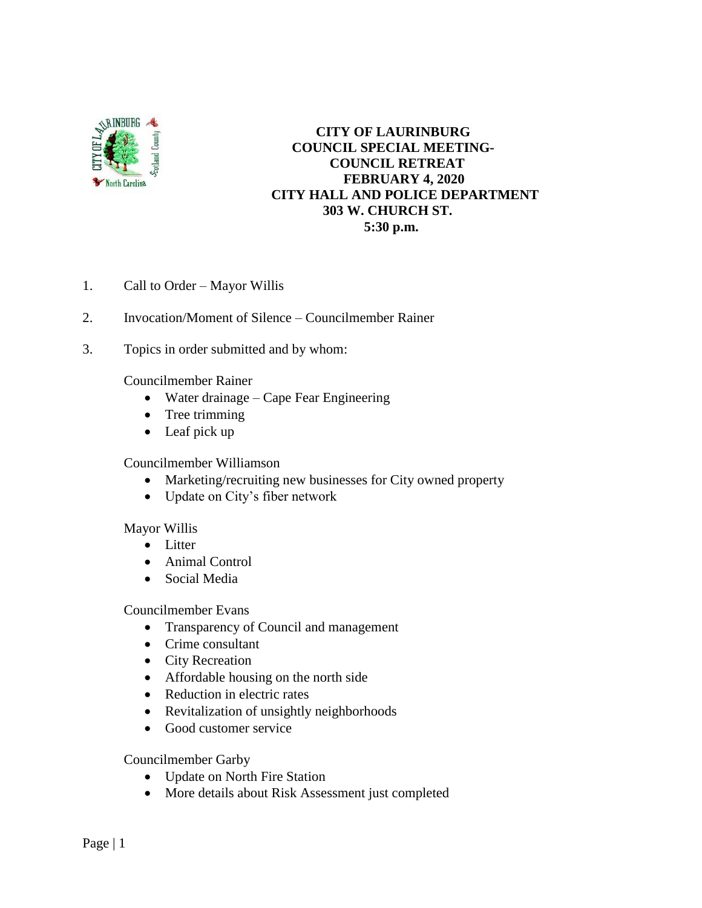

## **CITY OF LAURINBURG COUNCIL SPECIAL MEETING- COUNCIL RETREAT FEBRUARY 4, 2020 CITY HALL AND POLICE DEPARTMENT 303 W. CHURCH ST. 5:30 p.m.**

- 1. Call to Order Mayor Willis
- 2. Invocation/Moment of Silence Councilmember Rainer
- 3. Topics in order submitted and by whom:

Councilmember Rainer

- Water drainage Cape Fear Engineering
- Tree trimming
- Leaf pick up

## Councilmember Williamson

- Marketing/recruiting new businesses for City owned property
- Update on City's fiber network

## Mayor Willis

- Litter
- Animal Control
- Social Media

Councilmember Evans

- Transparency of Council and management
- Crime consultant
- City Recreation
- Affordable housing on the north side
- Reduction in electric rates
- Revitalization of unsightly neighborhoods
- Good customer service

Councilmember Garby

- Update on North Fire Station
- More details about Risk Assessment just completed